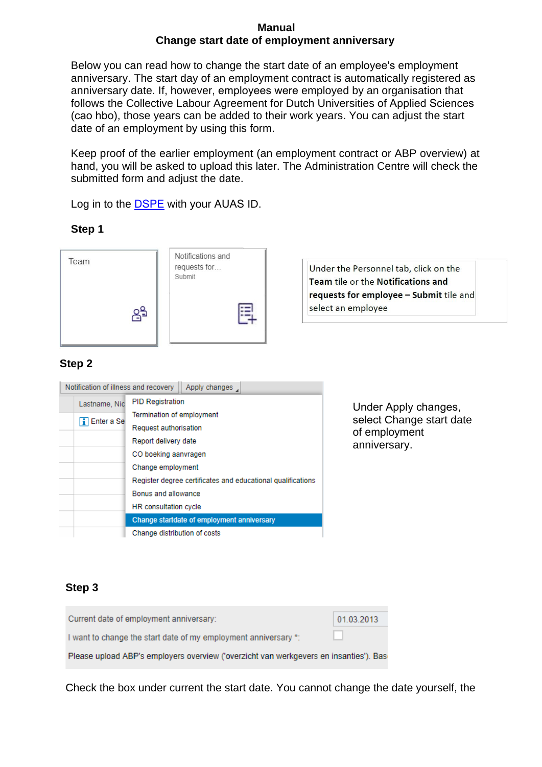#### **Manual Change start date of employment anniversary**

Below you can read how to change the start date of an employee's employment anniversary. The start day of an employment contract is automatically registered as anniversary date. If, however, employees were employed by an organisation that follows the Collective Labour Agreement for Dutch Universities of Applied Sciences (cao hbo), those years can be added to their work years. You can adjust the start date of an employment by using this form.

Keep proof of the earlier employment (an employment contract or ABP overview) at hand, you will be asked to upload this later. The Administration Centre will check the submitted form and adjust the date.

Log in to the DSPE with your AUAS ID.

### **Step 1**

| Team | Notifications and<br>requests for<br>Submit<br>$=$ | Under the Personnel tab, click on the<br>Team tile or the Notifications and<br>requests for employee - Submit tile and<br>select an employee |
|------|----------------------------------------------------|----------------------------------------------------------------------------------------------------------------------------------------------|
|      |                                                    |                                                                                                                                              |

## **Step 2**

| Notification of illness and recovery<br>Apply changes |                                                             |  |
|-------------------------------------------------------|-------------------------------------------------------------|--|
| Lastname, Nic                                         | <b>PID Registration</b>                                     |  |
| <b>T</b> Enter a Se                                   | Termination of employment                                   |  |
|                                                       | Request authorisation                                       |  |
|                                                       | Report delivery date                                        |  |
|                                                       | CO boeking aanvragen                                        |  |
|                                                       | Change employment                                           |  |
|                                                       | Register degree certificates and educational qualifications |  |
|                                                       | Bonus and allowance                                         |  |
|                                                       | <b>HR</b> consultation cycle                                |  |
|                                                       | Change startdate of employment anniversary                  |  |
|                                                       | Change distribution of costs                                |  |

Under Apply changes, select Change start date of employment anniversary.

## **Step 3**

| Current date of employment anniversary:                                                | 01.03.2013 |  |
|----------------------------------------------------------------------------------------|------------|--|
| I want to change the start date of my employment anniversary *:                        |            |  |
| Please upload ABP's employers overview ('overzicht van werkgevers en insanties'). Base |            |  |

Check the box under current the start date. You cannot change the date yourself, the